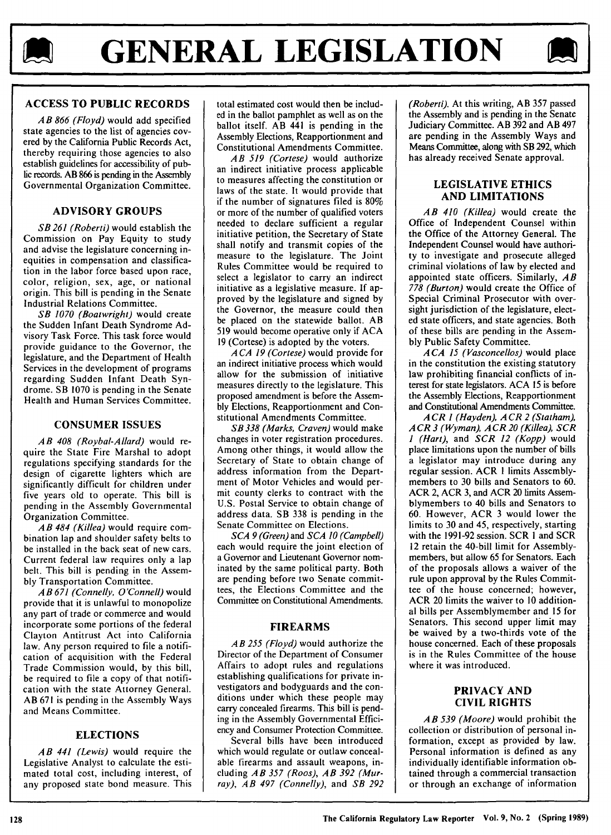

# **ACCESS TO PUBLIC RECORDS**

*AB 866 (Floyd)* would add specified state agencies to the list of agencies covered by the California Public Records Act, thereby requiring those agencies to also establish guidelines for accessibility of public records. **AB 866** is pending in the Assembly Governmental Organization Committee.

### **ADVISORY GROUPS**

*SB 261 (Roberti)* would establish the Commission on Pay Equity to study and advise the legislature concerning inequities in compensation and classification in the labor force based upon race, color, religion, sex, age, or national origin. This bill is pending in the Senate Industrial Relations Committee.

*SB 1070 (Boatwright)* would create the Sudden Infant Death Syndrome Advisory Task Force. This task force would provide guidance to the Governor, the legislature, and the Department of Health Services in the development of programs regarding Sudden Infant Death Syndrome. SB 1070 is pending in the Senate Health and Human Services Committee.

#### **CONSUMER ISSUES**

*AB 408 (Roybal-Allard)* would require the State Fire Marshal to adopt regulations specifying standards for the design of cigarette lighters which are significantly difficult for children under five years old to operate. This bill is pending in the Assembly Governmental Organization Committee.

*AB 484 (Kil/ea)* would require combination lap and shoulder safety belts to be installed in the back seat of new cars. Current federal law requires only a lap belt. This bill is pending in the Assembly Transportation Committee.

*AB 671 (Connelly, O'Connell)* would provide that it is unlawful to monopolize any part of trade or commerce and would incorporate some portions of the federal Clayton Antitrust Act into California law. Any person required to file a notification of acquisition with the Federal Trade Commission would, by this bill, be required to file a copy of that notification with the state Attorney General. AB 671 is pending in the Assembly Ways and Means Committee.

#### **ELECTIONS**

*AB 441 (Lewis)* would require the Legislative Analyst to calculate the estimated total cost, including interest, of any proposed state bond measure. This total estimated cost would then be included in the ballot pamphlet as well as on the ballot itself. AB 441 is pending in the Assembly Elections, Reapportionment and Constitutional Amendments Committee.

*AB 519 (Cortese)* would authorize an indirect initiative process applicable to measures affecting the constitution or laws of the state. It would provide that if the number of signatures filed is 80% or more of the number of qualified voters needed to declare sufficient a regular initiative petition, the Secretary of State shall notify and transmit copies of the measure to the legislature. The Joint Rules Committee would be required to select a legislator to carry an indirect initiative as a legislative measure. If approved by the legislature and signed by the Governor, the measure could then be placed on the statewide ballot. AB 519 would become operative only if ACA 19 (Cortese) is adopted by the voters.

*ACA 19 (Cortese)* would provide for an indirect initiative process which would allow for the submission of initiative measures directly to the legislature. This proposed amendment is before the Assembly Elections, Reapportionment and Constitutional Amendments Committee.

*SB 338 (Marks, Craven)* would make changes in voter registration procedures. Among other things, it would allow the Secretary of State to obtain change of address information from the Department of Motor Vehicles and would permit county clerks to contract with the U.S. Postal Service to obtain change of address data. SB 338 is pending in the Senate Committee on Elections.

*SCA 9 (Green)* and *SCA* JO *(Campbell)*  each would require the joint election of a Governor and Lieutenant Governor nominated by the same political party. Both are pending before two Senate committees, the Elections Committee and the Committee on Constitutional Amendments.

#### **FIREARMS**

*AB 255 (Floyd)* would authorize the Director of the Department of Consumer Affairs to adopt rules and regulations establishing qualifications for private investigators and bodyguards and the conditions under which these people may carry concealed firearms. This bill is pending in the Assembly Governmental Efficiency and Consumer Protection Committee.

Several bills have been introduced which would regulate or outlaw concealable firearms and assault weapons, including *AB 357 (Roos), AB 392 (Murray), AB 497 (Connelly),* and *SB 292*  *(Roberti).* At this writing, AB 357 passed the Assembly and is pending in the Senate Judiciary Committee. AB 392 and AB 497 are pending in the Assembly Ways and Means Committee, along with SB 292, which has already received Senate approval.

#### **LEGISLATIVE ETHICS AND LIMITATIONS**

*AB 410 (Kil/ea)* would create the Office of Independent Counsel within the Office of the Attorney General. The Independent Counsel would have authority to investigate and prosecute alleged criminal violations of law by elected and appointed state officers. Similarly, *AB 778 (Burton)* would create the Office of Special Criminal Prosecutor with oversight jurisdiction of the legislature, elected state officers, and state agencies. Both of these bills are pending in the Assembly Public Safety Committee.

*ACA 15 (Vasconcellos)* would place in the constitution the existing statutory law prohibiting financial conflicts of interest for state legislators. ACA 15 is before the Assembly Elections, Reapportionment and Constitutional Amendments Committee.

*ACR 1 (Hayden), ACR 2 (Statham), ACR* 3 *(Wyman), ACR* 20 *(Kil/ea), SCR 1 (Hart),* and *SCR 12 (Kopp)* would place limitations upon the number of bills a legislator may introduce during any regular session. ACR I limits Assemblymembers to 30 bills and Senators to 60. ACR 2, ACR 3, and ACR 20 limits Assemblymembers to 40 bills and Senators to 60. However, ACR 3 would lower the limits to 30 and 45, respectively, starting with the 1991-92 session. SCR I and SCR 12 retain the 40-bill limit for Assemblymembers, but allow 65 for Senators. Each of the proposals allows a waiver of the rule upon approval by the Rules Committee of the house concerned; however, ACR 20 limits the waiver to 10 additional bills per Assemblymember and 15 for Senators. This second upper limit may be waived by a two-thirds vote of the house concerned. Each of these proposals is in the Rules Committee of the house where it was introduced.

#### **PRIVACY AND CIVIL RIGHTS**

**AB** *539 (Moore)* would prohibit the collection or distribution of personal information, except as provided by law. Personal information is defined as any individually identifiable information obtained through a commercial transaction or through an exchange of information